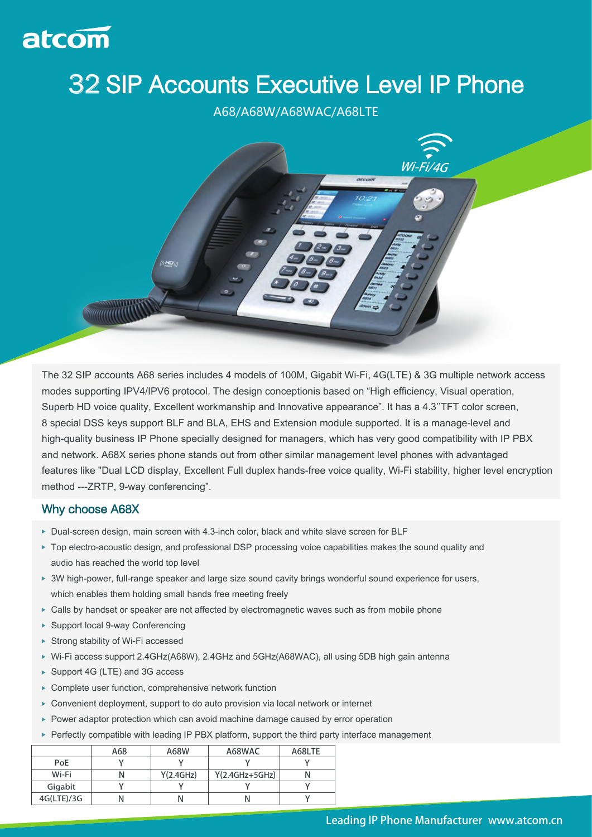

## **32 SIP Accounts Executive Level IP Phone**

A68/A68W/A68WAC/A68LTE



The 32 SIP accounts A68 series includes 4 models of 100M, Gigabit Wi-Fi, 4G(LTE) & 3G multiple network access modes supporting IPV4/IPV6 protocol. The design conceptionis based on "High efficiency, Visual operation, Superb HD voice quality, Excellent workmanship and Innovative appearance". It has a 4.3''TFT color screen, 8 special DSS keys support BLF and BLA, EHS and Extension module supported. It is a manage-level and high-quality business IP Phone specially designed for managers, which has very good compatibility with IP PBX and network. A68X series phone stands out from other similar management level phones with advantaged features like "Dual LCD display, Excellent Full duplex hands-free voice quality, Wi-Fi stability, higher level encryption method ---ZRTP, 9-way conferencing".

## **Why choose A68X**

- ▶ Dual-screen design, main screen with 4.3-inch color, black and white slave screen for BLF
- ▶ Top electro-acoustic design, and professional DSP processing voice capabilities makes the sound quality and audio has reached the world top level
- ▶ 3W high-power, full-range speaker and large size sound cavity brings wonderful sound experience for users, which enables them holding small hands free meeting freely
- ► Calls by handset or speaker are not affected by electromagnetic waves such as from mobile phone
- ▶ Support local 9-way Conferencing
- ▶ Strong stability of Wi-Fi accessed
- Wi-Fi access support 2.4GHz(A68W), 2.4GHz and 5GHz(A68WAC), all using 5DB high gain antenna
- ▶ Support 4G (LTE) and 3G access
- Complete user function, comprehensive network function
- ▶ Convenient deployment, support to do auto provision via local network or internet
- $\triangleright$  Power adaptor protection which can avoid machine damage caused by error operation
- ▶ Perfectly compatible with leading IP PBX platform, support the third party interface management

|            | A68 | A68W      | A68WAC           | A68LTE |
|------------|-----|-----------|------------------|--------|
| PoE.       |     |           |                  |        |
| Wi-Fi      |     | Y(2.4GHz) | $Y(2.4GHz+5GHz)$ |        |
| Gigabit    |     |           |                  |        |
| 4G(LTE)/3G |     |           |                  |        |